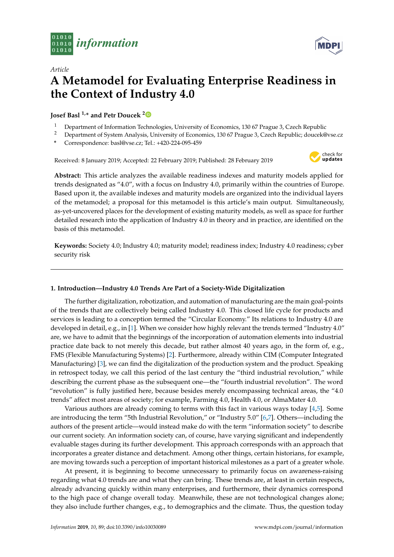



# *Article* **A Metamodel for Evaluating Enterprise Readiness in the Context of Industry 4.0**

# **Josef Basl 1,\* and Petr Doucek [2](https://orcid.org/0000-0002-5647-661X)**

- <sup>1</sup> Department of Information Technologies, University of Economics, 130 67 Prague 3, Czech Republic<br><sup>2</sup> Department of System Analysis, University of Economics, 130 67 Prague 3, Czech Republic: dougher
- <sup>2</sup> Department of System Analysis, University of Economics, 130 67 Prague 3, Czech Republic; doucek@vse.cz
- **\*** Correspondence: basl@vse.cz; Tel.: +420-224-095-459

Received: 8 January 2019; Accepted: 22 February 2019; Published: 28 February 2019



**Abstract:** This article analyzes the available readiness indexes and maturity models applied for trends designated as "4.0", with a focus on Industry 4.0, primarily within the countries of Europe. Based upon it, the available indexes and maturity models are organized into the individual layers of the metamodel; a proposal for this metamodel is this article's main output. Simultaneously, as-yet-uncovered places for the development of existing maturity models, as well as space for further detailed research into the application of Industry 4.0 in theory and in practice, are identified on the basis of this metamodel.

**Keywords:** Society 4.0; Industry 4.0; maturity model; readiness index; Industry 4.0 readiness; cyber security risk

# **1. Introduction—Industry 4.0 Trends Are Part of a Society-Wide Digitalization**

The further digitalization, robotization, and automation of manufacturing are the main goal-points of the trends that are collectively being called Industry 4.0. This closed life cycle for products and services is leading to a conception termed the "Circular Economy." Its relations to Industry 4.0 are developed in detail, e.g., in [\[1\]](#page-10-0). When we consider how highly relevant the trends termed "Industry 4.0" are, we have to admit that the beginnings of the incorporation of automation elements into industrial practice date back to not merely this decade, but rather almost 40 years ago, in the form of, e.g., FMS (Flexible Manufacturing Systems) [\[2\]](#page-10-1). Furthermore, already within CIM (Computer Integrated Manufacturing) [\[3\]](#page-10-2), we can find the digitalization of the production system and the product. Speaking in retrospect today, we call this period of the last century the "third industrial revolution," while describing the current phase as the subsequent one—the "fourth industrial revolution". The word "revolution" is fully justified here, because besides merely encompassing technical areas, the "4.0 trends" affect most areas of society; for example, Farming 4.0, Health 4.0, or AlmaMater 4.0.

Various authors are already coming to terms with this fact in various ways today [\[4](#page-10-3)[,5\]](#page-10-4). Some are introducing the term "5th Industrial Revolution," or "Industry 5.0" [\[6](#page-10-5)[,7\]](#page-10-6). Others—including the authors of the present article—would instead make do with the term "information society" to describe our current society. An information society can, of course, have varying significant and independently evaluable stages during its further development. This approach corresponds with an approach that incorporates a greater distance and detachment. Among other things, certain historians, for example, are moving towards such a perception of important historical milestones as a part of a greater whole.

At present, it is beginning to become unnecessary to primarily focus on awareness-raising regarding what 4.0 trends are and what they can bring. These trends are, at least in certain respects, already advancing quickly within many enterprises, and furthermore, their dynamics correspond to the high pace of change overall today. Meanwhile, these are not technological changes alone; they also include further changes, e.g., to demographics and the climate. Thus, the question today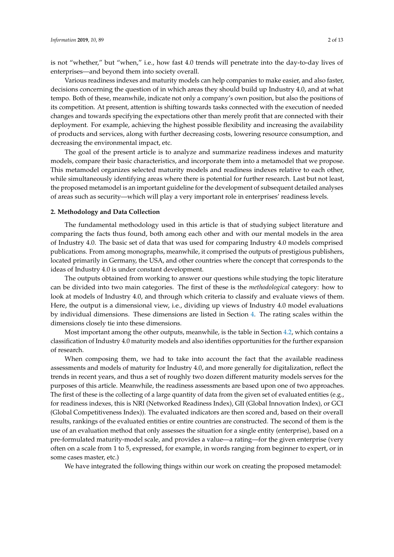is not "whether," but "when," i.e., how fast 4.0 trends will penetrate into the day-to-day lives of enterprises—and beyond them into society overall.

Various readiness indexes and maturity models can help companies to make easier, and also faster, decisions concerning the question of in which areas they should build up Industry 4.0, and at what tempo. Both of these, meanwhile, indicate not only a company's own position, but also the positions of its competition. At present, attention is shifting towards tasks connected with the execution of needed changes and towards specifying the expectations other than merely profit that are connected with their deployment. For example, achieving the highest possible flexibility and increasing the availability of products and services, along with further decreasing costs, lowering resource consumption, and decreasing the environmental impact, etc.

The goal of the present article is to analyze and summarize readiness indexes and maturity models, compare their basic characteristics, and incorporate them into a metamodel that we propose. This metamodel organizes selected maturity models and readiness indexes relative to each other, while simultaneously identifying areas where there is potential for further research. Last but not least, the proposed metamodel is an important guideline for the development of subsequent detailed analyses of areas such as security—which will play a very important role in enterprises' readiness levels.

#### **2. Methodology and Data Collection**

The fundamental methodology used in this article is that of studying subject literature and comparing the facts thus found, both among each other and with our mental models in the area of Industry 4.0. The basic set of data that was used for comparing Industry 4.0 models comprised publications. From among monographs, meanwhile, it comprised the outputs of prestigious publishers, located primarily in Germany, the USA, and other countries where the concept that corresponds to the ideas of Industry 4.0 is under constant development.

The outputs obtained from working to answer our questions while studying the topic literature can be divided into two main categories. The first of these is the *methodological* category: how to look at models of Industry 4.0, and through which criteria to classify and evaluate views of them. Here, the output is a dimensional view, i.e., dividing up views of Industry 4.0 model evaluations by individual dimensions. These dimensions are listed in Section [4.](#page-4-0) The rating scales within the dimensions closely tie into these dimensions.

Most important among the other outputs, meanwhile, is the table in Section [4.2,](#page-6-0) which contains a classification of Industry 4.0 maturity models and also identifies opportunities for the further expansion of research.

When composing them, we had to take into account the fact that the available readiness assessments and models of maturity for Industry 4.0, and more generally for digitalization, reflect the trends in recent years, and thus a set of roughly two dozen different maturity models serves for the purposes of this article. Meanwhile, the readiness assessments are based upon one of two approaches. The first of these is the collecting of a large quantity of data from the given set of evaluated entities (e.g., for readiness indexes, this is NRI (Networked Readiness Index), GII (Global Innovation Index), or GCI (Global Competitiveness Index)). The evaluated indicators are then scored and, based on their overall results, rankings of the evaluated entities or entire countries are constructed. The second of them is the use of an evaluation method that only assesses the situation for a single entity (enterprise), based on a pre-formulated maturity-model scale, and provides a value—a rating—for the given enterprise (very often on a scale from 1 to 5, expressed, for example, in words ranging from beginner to expert, or in some cases master, etc.)

We have integrated the following things within our work on creating the proposed metamodel: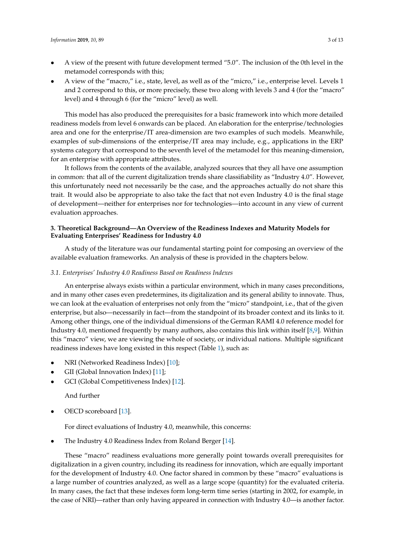- A view of the present with future development termed "5.0". The inclusion of the 0th level in the metamodel corresponds with this;
- A view of the "macro," i.e., state, level, as well as of the "micro," i.e., enterprise level. Levels 1 and 2 correspond to this, or more precisely, these two along with levels 3 and 4 (for the "macro" level) and 4 through 6 (for the "micro" level) as well.

This model has also produced the prerequisites for a basic framework into which more detailed readiness models from level 6 onwards can be placed. An elaboration for the enterprise/technologies area and one for the enterprise/IT area-dimension are two examples of such models. Meanwhile, examples of sub-dimensions of the enterprise/IT area may include, e.g., applications in the ERP systems category that correspond to the seventh level of the metamodel for this meaning-dimension, for an enterprise with appropriate attributes.

It follows from the contents of the available, analyzed sources that they all have one assumption in common: that all of the current digitalization trends share classifiability as "Industry 4.0". However, this unfortunately need not necessarily be the case, and the approaches actually do not share this trait. It would also be appropriate to also take the fact that not even Industry 4.0 is the final stage of development—neither for enterprises nor for technologies—into account in any view of current evaluation approaches.

#### **3. Theoretical Background—An Overview of the Readiness Indexes and Maturity Models for Evaluating Enterprises' Readiness for Industry 4.0**

A study of the literature was our fundamental starting point for composing an overview of the available evaluation frameworks. An analysis of these is provided in the chapters below.

#### *3.1. Enterprises' Industry 4.0 Readiness Based on Readiness Indexes*

An enterprise always exists within a particular environment, which in many cases preconditions, and in many other cases even predetermines, its digitalization and its general ability to innovate. Thus, we can look at the evaluation of enterprises not only from the "micro" standpoint, i.e., that of the given enterprise, but also—necessarily in fact—from the standpoint of its broader context and its links to it. Among other things, one of the individual dimensions of the German RAMI 4.0 reference model for Industry 4.0, mentioned frequently by many authors, also contains this link within itself [\[8](#page-10-7)[,9\]](#page-10-8). Within this "macro" view, we are viewing the whole of society, or individual nations. Multiple significant readiness indexes have long existed in this respect (Table [1\)](#page-3-0), such as:

- NRI (Networked Readiness Index) [\[10\]](#page-10-9);
- GII (Global Innovation Index) [\[11\]](#page-10-10);
- GCI (Global Competitiveness Index) [\[12\]](#page-10-11).

And further

OECD scoreboard [\[13\]](#page-10-12).

For direct evaluations of Industry 4.0, meanwhile, this concerns:

• The Industry 4.0 Readiness Index from Roland Berger [\[14\]](#page-11-0).

These "macro" readiness evaluations more generally point towards overall prerequisites for digitalization in a given country, including its readiness for innovation, which are equally important for the development of Industry 4.0. One factor shared in common by these "macro" evaluations is a large number of countries analyzed, as well as a large scope (quantity) for the evaluated criteria. In many cases, the fact that these indexes form long-term time series (starting in 2002, for example, in the case of NRI)—rather than only having appeared in connection with Industry 4.0—is another factor.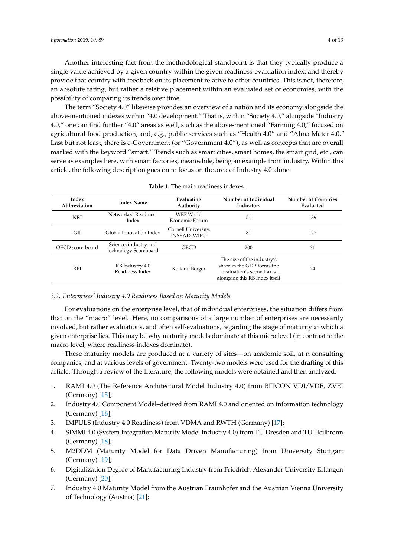Another interesting fact from the methodological standpoint is that they typically produce a single value achieved by a given country within the given readiness-evaluation index, and thereby provide that country with feedback on its placement relative to other countries. This is not, therefore, an absolute rating, but rather a relative placement within an evaluated set of economies, with the possibility of comparing its trends over time.

The term "Society 4.0" likewise provides an overview of a nation and its economy alongside the above-mentioned indexes within "4.0 development." That is, within "Society 4.0," alongside "Industry 4.0," one can find further "4.0" areas as well, such as the above-mentioned "Farming 4.0," focused on agricultural food production, and, e.g., public services such as "Health 4.0" and "Alma Mater 4.0." Last but not least, there is e-Government (or "Government 4.0"), as well as concepts that are overall marked with the keyword "smart." Trends such as smart cities, smart homes, the smart grid, etc., can serve as examples here, with smart factories, meanwhile, being an example from industry. Within this article, the following description goes on to focus on the area of Industry 4.0 alone.

<span id="page-3-0"></span>

| Index<br><b>Index Name</b><br>Abbreviation |                                                | Evaluating<br>Authority                    | Number of Individual<br><b>Indicators</b>                                                                              | <b>Number of Countries</b><br>Evaluated |  |
|--------------------------------------------|------------------------------------------------|--------------------------------------------|------------------------------------------------------------------------------------------------------------------------|-----------------------------------------|--|
| <b>NRI</b>                                 | Networked Readiness<br>Index                   | WEF World<br>Economic Forum                | .51                                                                                                                    | 139                                     |  |
| <b>GII</b>                                 | Global Innovation Index                        | Cornell University,<br><b>INSEAD, WIPO</b> | 81                                                                                                                     | 127                                     |  |
| OECD score-board                           | Science, industry and<br>technology Scoreboard | OECD                                       | 200                                                                                                                    | 31                                      |  |
| <b>RBI</b>                                 | RB Industry 4.0<br>Readiness Index             | Rolland Berger                             | The size of the industry's<br>share in the GDP forms the<br>evaluation's second axis<br>alongside this RB Index itself | 24                                      |  |

| <b>Table 1.</b> The main readiness indexes. |  |
|---------------------------------------------|--|
|---------------------------------------------|--|

#### *3.2. Enterprises' Industry 4.0 Readiness Based on Maturity Models*

For evaluations on the enterprise level, that of individual enterprises, the situation differs from that on the "macro" level. Here, no comparisons of a large number of enterprises are necessarily involved, but rather evaluations, and often self-evaluations, regarding the stage of maturity at which a given enterprise lies. This may be why maturity models dominate at this micro level (in contrast to the macro level, where readiness indexes dominate).

These maturity models are produced at a variety of sites—on academic soil, at n consulting companies, and at various levels of government. Twenty-two models were used for the drafting of this article. Through a review of the literature, the following models were obtained and then analyzed:

- 1. RAMI 4.0 (The Reference Architectural Model Industry 4.0) from BITCON VDI/VDE, ZVEI (Germany) [\[15\]](#page-11-1);
- 2. Industry 4.0 Component Model–derived from RAMI 4.0 and oriented on information technology (Germany) [\[16\]](#page-11-2);
- 3. IMPULS (Industry 4.0 Readiness) from VDMA and RWTH (Germany) [\[17\]](#page-11-3);
- 4. SIMMI 4.0 (System Integration Maturity Model Industry 4.0) from TU Dresden and TU Heilbronn (Germany) [\[18\]](#page-11-4);
- 5. M2DDM (Maturity Model for Data Driven Manufacturing) from University Stuttgart (Germany) [\[19\]](#page-11-5);
- 6. Digitalization Degree of Manufacturing Industry from Friedrich-Alexander University Erlangen (Germany) [\[20\]](#page-11-6);
- 7. Industry 4.0 Maturity Model from the Austrian Fraunhofer and the Austrian Vienna University of Technology (Austria) [\[21\]](#page-11-7);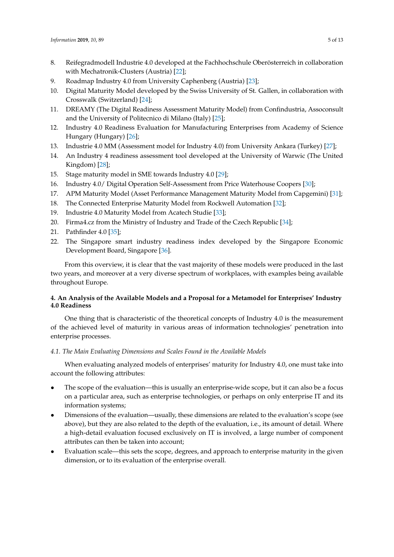- 8. Reifegradmodell Industrie 4.0 developed at the Fachhochschule Oberösterreich in collaboration with Mechatronik-Clusters (Austria) [\[22\]](#page-11-8);
- 9. Roadmap Industry 4.0 from University Caphenberg (Austria) [\[23\]](#page-11-9);
- 10. Digital Maturity Model developed by the Swiss University of St. Gallen, in collaboration with Crosswalk (Switzerland) [\[24\]](#page-11-10);
- 11. DREAMY (The Digital Readiness Assessment Maturity Model) from Confindustria, Assoconsult and the University of Politecnico di Milano (Italy) [\[25\]](#page-11-11);
- <span id="page-4-1"></span>12. Industry 4.0 Readiness Evaluation for Manufacturing Enterprises from Academy of Science Hungary (Hungary) [\[26\]](#page-11-12);
- 13. Industrie 4.0 MM (Assessment model for Industry 4.0) from University Ankara (Turkey) [\[27\]](#page-11-13);
- 14. An Industry 4 readiness assessment tool developed at the University of Warwic (The United Kingdom) [\[28\]](#page-11-14);
- 15. Stage maturity model in SME towards Industry 4.0 [\[29\]](#page-11-15);
- 16. Industry 4.0/ Digital Operation Self-Assessment from Price Waterhouse Coopers [\[30\]](#page-11-16);
- 17. APM Maturity Model (Asset Performance Management Maturity Model from Capgemini) [\[31\]](#page-11-17);
- 18. The Connected Enterprise Maturity Model from Rockwell Automation [\[32\]](#page-12-0);
- 19. Industrie 4.0 Maturity Model from Acatech Studie [\[33\]](#page-12-1);
- 20. Firma4.cz from the Ministry of Industry and Trade of the Czech Republic [\[34\]](#page-12-2);
- 21. Pathfinder 4.0 [\[35\]](#page-12-3);
- 22. The Singapore smart industry readiness index developed by the Singapore Economic Development Board, Singapore [\[36\]](#page-12-4).

From this overview, it is clear that the vast majority of these models were produced in the last two years, and moreover at a very diverse spectrum of workplaces, with examples being available throughout Europe.

# <span id="page-4-0"></span>**4. An Analysis of the Available Models and a Proposal for a Metamodel for Enterprises' Industry 4.0 Readiness**

One thing that is characteristic of the theoretical concepts of Industry 4.0 is the measurement of the achieved level of maturity in various areas of information technologies' penetration into enterprise processes.

# *4.1. The Main Evaluating Dimensions and Scales Found in the Available Models*

When evaluating analyzed models of enterprises' maturity for Industry 4.0, one must take into account the following attributes:

- The scope of the evaluation—this is usually an enterprise-wide scope, but it can also be a focus on a particular area, such as enterprise technologies, or perhaps on only enterprise IT and its information systems;
- Dimensions of the evaluation—usually, these dimensions are related to the evaluation's scope (see above), but they are also related to the depth of the evaluation, i.e., its amount of detail. Where a high-detail evaluation focused exclusively on IT is involved, a large number of component attributes can then be taken into account;
- Evaluation scale—this sets the scope, degrees, and approach to enterprise maturity in the given dimension, or to its evaluation of the enterprise overall.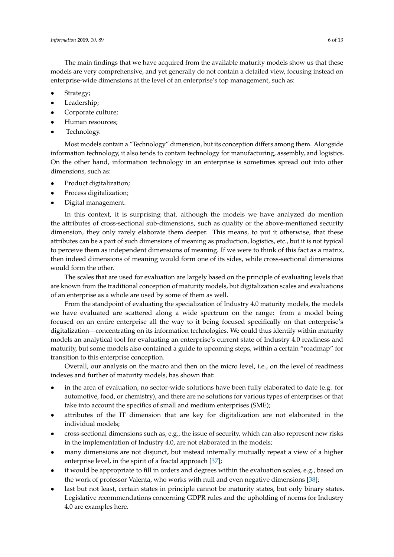The main findings that we have acquired from the available maturity models show us that these models are very comprehensive, and yet generally do not contain a detailed view, focusing instead on enterprise-wide dimensions at the level of an enterprise's top management, such as:

- Strategy;
- Leadership;
- Corporate culture;
- Human resources;
- Technology.

Most models contain a "Technology" dimension, but its conception differs among them. Alongside information technology, it also tends to contain technology for manufacturing, assembly, and logistics. On the other hand, information technology in an enterprise is sometimes spread out into other dimensions, such as:

- Product digitalization;
- Process digitalization;
- Digital management.

In this context, it is surprising that, although the models we have analyzed do mention the attributes of cross-sectional sub-dimensions, such as quality or the above-mentioned security dimension, they only rarely elaborate them deeper. This means, to put it otherwise, that these attributes can be a part of such dimensions of meaning as production, logistics, etc., but it is not typical to perceive them as independent dimensions of meaning. If we were to think of this fact as a matrix, then indeed dimensions of meaning would form one of its sides, while cross-sectional dimensions would form the other.

The scales that are used for evaluation are largely based on the principle of evaluating levels that are known from the traditional conception of maturity models, but digitalization scales and evaluations of an enterprise as a whole are used by some of them as well.

From the standpoint of evaluating the specialization of Industry 4.0 maturity models, the models we have evaluated are scattered along a wide spectrum on the range: from a model being focused on an entire enterprise all the way to it being focused specifically on that enterprise's digitalization—concentrating on its information technologies. We could thus identify within maturity models an analytical tool for evaluating an enterprise's current state of Industry 4.0 readiness and maturity, but some models also contained a guide to upcoming steps, within a certain "roadmap" for transition to this enterprise conception.

Overall, our analysis on the macro and then on the micro level, i.e., on the level of readiness indexes and further of maturity models, has shown that:

- in the area of evaluation, no sector-wide solutions have been fully elaborated to date (e.g. for automotive, food, or chemistry), and there are no solutions for various types of enterprises or that take into account the specifics of small and medium enterprises (SME);
- attributes of the IT dimension that are key for digitalization are not elaborated in the individual models;
- cross-sectional dimensions such as, e.g., the issue of security, which can also represent new risks in the implementation of Industry 4.0, are not elaborated in the models;
- many dimensions are not disjunct, but instead internally mutually repeat a view of a higher enterprise level, in the spirit of a fractal approach [\[37\]](#page-12-5);
- it would be appropriate to fill in orders and degrees within the evaluation scales, e.g., based on the work of professor Valenta, who works with null and even negative dimensions [\[38\]](#page-12-6);
- last but not least, certain states in principle cannot be maturity states, but only binary states. Legislative recommendations concerning GDPR rules and the upholding of norms for Industry 4.0 are examples here.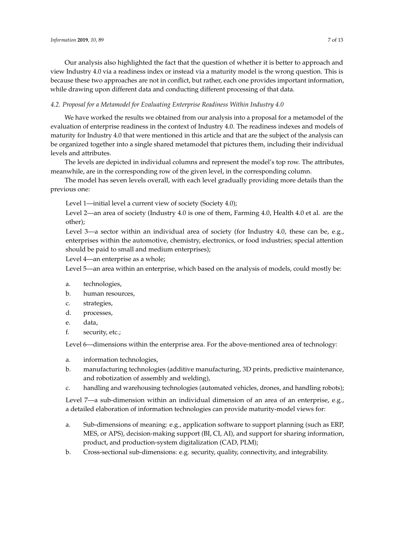Our analysis also highlighted the fact that the question of whether it is better to approach and view Industry 4.0 via a readiness index or instead via a maturity model is the wrong question. This is because these two approaches are not in conflict, but rather, each one provides important information, while drawing upon different data and conducting different processing of that data.

# <span id="page-6-0"></span>*4.2. Proposal for a Metamodel for Evaluating Enterprise Readiness Within Industry 4.0*

We have worked the results we obtained from our analysis into a proposal for a metamodel of the evaluation of enterprise readiness in the context of Industry 4.0. The readiness indexes and models of maturity for Industry 4.0 that were mentioned in this article and that are the subject of the analysis can be organized together into a single shared metamodel that pictures them, including their individual levels and attributes.

The levels are depicted in individual columns and represent the model's top row. The attributes, meanwhile, are in the corresponding row of the given level, in the corresponding column.

The model has seven levels overall, with each level gradually providing more details than the previous one:

Level 1—initial level a current view of society (Society 4.0);

Level 2—an area of society (Industry 4.0 is one of them, Farming 4.0, Health 4.0 et al. are the other);

Level 3—a sector within an individual area of society (for Industry 4.0, these can be, e.g., enterprises within the automotive, chemistry, electronics, or food industries; special attention should be paid to small and medium enterprises);

Level 4—an enterprise as a whole;

Level 5—an area within an enterprise, which based on the analysis of models, could mostly be:

- a. technologies,
- b. human resources,
- c. strategies,
- d. processes,
- e. data,
- f. security, etc.;

Level 6—dimensions within the enterprise area. For the above-mentioned area of technology:

- a. information technologies,
- b. manufacturing technologies (additive manufacturing, 3D prints, predictive maintenance, and robotization of assembly and welding),
- c. handling and warehousing technologies (automated vehicles, drones, and handling robots);

Level 7—a sub-dimension within an individual dimension of an area of an enterprise, e.g., a detailed elaboration of information technologies can provide maturity-model views for:

- a. Sub-dimensions of meaning: e.g., application software to support planning (such as ERP, MES, or APS), decision-making support (BI, CI, AI), and support for sharing information, product, and production-system digitalization (CAD, PLM);
- b. Cross-sectional sub-dimensions: e.g. security, quality, connectivity, and integrability.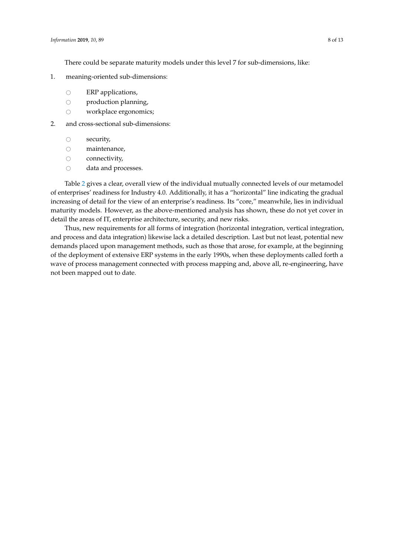There could be separate maturity models under this level 7 for sub-dimensions, like:

- 1. meaning-oriented sub-dimensions:
	-
	- $\circ$  ERP applications,<br> $\circ$  production plann
	- $\circ$  production planning,<br> $\circ$  workplace ergonomic workplace ergonomics;
- 2. and cross-sectional sub-dimensions:
	- $\circ$  security,<br> $\circ$  mainten
	- $\circ$  maintenance,<br> $\circ$  connectivity,
	- $\circ$  connectivity,<br> $\circ$  data and pro
	- data and processes.

Table [2](#page-8-0) gives a clear, overall view of the individual mutually connected levels of our metamodel of enterprises' readiness for Industry 4.0. Additionally, it has a "horizontal" line indicating the gradual increasing of detail for the view of an enterprise's readiness. Its "core," meanwhile, lies in individual maturity models. However, as the above-mentioned analysis has shown, these do not yet cover in detail the areas of IT, enterprise architecture, security, and new risks.

Thus, new requirements for all forms of integration (horizontal integration, vertical integration, and process and data integration) likewise lack a detailed description. Last but not least, potential new demands placed upon management methods, such as those that arose, for example, at the beginning of the deployment of extensive ERP systems in the early 1990s, when these deployments called forth a wave of process management connected with process mapping and, above all, re-engineering, have not been mapped out to date.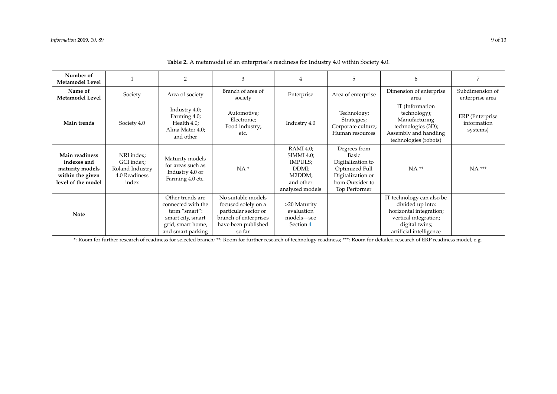| Number of<br><b>Metamodel Level</b>                                                        |                                                                       | $\overline{2}$                                                                                                         | 3                                                                                                                           |                                                                                       | 5                                                                                                                      | 6                                                                                                                                              |                                            |
|--------------------------------------------------------------------------------------------|-----------------------------------------------------------------------|------------------------------------------------------------------------------------------------------------------------|-----------------------------------------------------------------------------------------------------------------------------|---------------------------------------------------------------------------------------|------------------------------------------------------------------------------------------------------------------------|------------------------------------------------------------------------------------------------------------------------------------------------|--------------------------------------------|
| Name of<br><b>Metamodel Level</b>                                                          | Society                                                               | Area of society                                                                                                        | Branch of area of<br>society                                                                                                | Enterprise                                                                            | Area of enterprise                                                                                                     | Dimension of enterprise<br>area                                                                                                                | Subdimension of<br>enterprise area         |
| Main trends                                                                                | Society 4.0                                                           | Industry 4.0;<br>Farming 4.0;<br>Health 4.0;<br>Alma Mater 4.0;<br>and other                                           | Automotive;<br>Electronic;<br>Food industry;<br>etc.                                                                        | Industry 4.0                                                                          | Technology;<br>Strategies;<br>Corporate culture;<br>Human resources                                                    | IT (Information<br>technology);<br>Manufacturing<br>technologies (3D);<br>Assembly and handling<br>technologies (robots)                       | ERP (Enterprise<br>information<br>systems) |
| Main readiness<br>indexes and<br>maturity models<br>within the given<br>level of the model | NRI index;<br>GCI index;<br>Roland Industry<br>4.0 Readiness<br>index | Maturity models<br>for areas such as<br>Industry 4.0 or<br>Farming 4.0 etc.                                            | $NA*$                                                                                                                       | RAMI 4.0;<br>SIMMI 4.0;<br>IMPULS;<br>DDMI;<br>M2DDM;<br>and other<br>analyzed models | Degrees from<br>Basic<br>Digitalization to<br>Optimized Full<br>Digitalization or<br>from Outsider to<br>Top Performer | $NA**$                                                                                                                                         | $NA$ ***                                   |
| <b>Note</b>                                                                                |                                                                       | Other trends are<br>connected with the<br>term "smart":<br>smart city, smart<br>grid, smart home,<br>and smart parking | No suitable models<br>focused solely on a<br>particular sector or<br>branch of enterprises<br>have been published<br>so far | >20 Maturity<br>evaluation<br>models-see<br>Section 4                                 |                                                                                                                        | IT technology can also be<br>divided up into:<br>horizontal integration;<br>vertical integration;<br>digital twins;<br>artificial intelligence |                                            |

| <b>Table 2.</b> A metamodel of an enterprise's readiness for Industry 4.0 within Society 4.0. |  |  |  |
|-----------------------------------------------------------------------------------------------|--|--|--|
|-----------------------------------------------------------------------------------------------|--|--|--|

<span id="page-8-0"></span>\*: Room for further research of readiness for selected branch; \*\*: Room for further research of technology readiness; \*\*\*: Room for detailed research of ERP readiness model, e.g.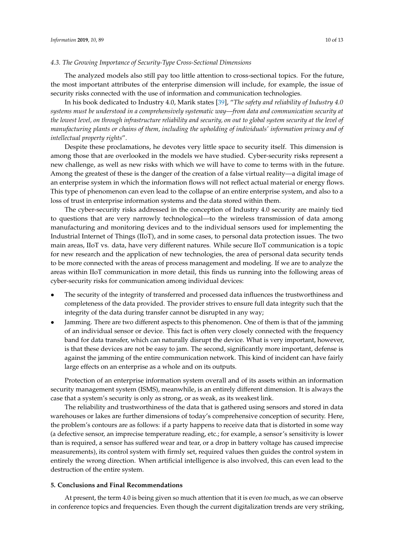# *4.3. The Growing Importance of Security-Type Cross-Sectional Dimensions*

The analyzed models also still pay too little attention to cross-sectional topics. For the future, the most important attributes of the enterprise dimension will include, for example, the issue of security risks connected with the use of information and communication technologies.

In his book dedicated to Industry 4.0, Marik states [\[39\]](#page-12-7), "*The safety and reliability of Industry 4.0 systems must be understood in a comprehensively systematic way—from data and communication security at the lowest level, on through infrastructure reliability and security, on out to global system security at the level of manufacturing plants or chains of them, including the upholding of individuals' information privacy and of intellectual property rights*".

Despite these proclamations, he devotes very little space to security itself. This dimension is among those that are overlooked in the models we have studied. Cyber-security risks represent a new challenge, as well as new risks with which we will have to come to terms with in the future. Among the greatest of these is the danger of the creation of a false virtual reality—a digital image of an enterprise system in which the information flows will not reflect actual material or energy flows. This type of phenomenon can even lead to the collapse of an entire enterprise system, and also to a loss of trust in enterprise information systems and the data stored within them.

The cyber-security risks addressed in the conception of Industry 4.0 security are mainly tied to questions that are very narrowly technological—to the wireless transmission of data among manufacturing and monitoring devices and to the individual sensors used for implementing the Industrial Internet of Things (IIoT), and in some cases, to personal data protection issues. The two main areas, IIoT vs. data, have very different natures. While secure IIoT communication is a topic for new research and the application of new technologies, the area of personal data security tends to be more connected with the areas of process management and modeling. If we are to analyze the areas within IIoT communication in more detail, this finds us running into the following areas of cyber-security risks for communication among individual devices:

- The security of the integrity of transferred and processed data influences the trustworthiness and completeness of the data provided. The provider strives to ensure full data integrity such that the integrity of the data during transfer cannot be disrupted in any way;
- Jamming. There are two different aspects to this phenomenon. One of them is that of the jamming of an individual sensor or device. This fact is often very closely connected with the frequency band for data transfer, which can naturally disrupt the device. What is very important, however, is that these devices are not be easy to jam. The second, significantly more important, defense is against the jamming of the entire communication network. This kind of incident can have fairly large effects on an enterprise as a whole and on its outputs.

Protection of an enterprise information system overall and of its assets within an information security management system (ISMS), meanwhile, is an entirely different dimension. It is always the case that a system's security is only as strong, or as weak, as its weakest link.

The reliability and trustworthiness of the data that is gathered using sensors and stored in data warehouses or lakes are further dimensions of today's comprehensive conception of security. Here, the problem's contours are as follows: if a party happens to receive data that is distorted in some way (a defective sensor, an imprecise temperature reading, etc.; for example, a sensor's sensitivity is lower than is required, a sensor has suffered wear and tear, or a drop in battery voltage has caused imprecise measurements), its control system with firmly set, required values then guides the control system in entirely the wrong direction. When artificial intelligence is also involved, this can even lead to the destruction of the entire system.

#### **5. Conclusions and Final Recommendations**

At present, the term 4.0 is being given so much attention that it is even *too* much, as we can observe in conference topics and frequencies. Even though the current digitalization trends are very striking,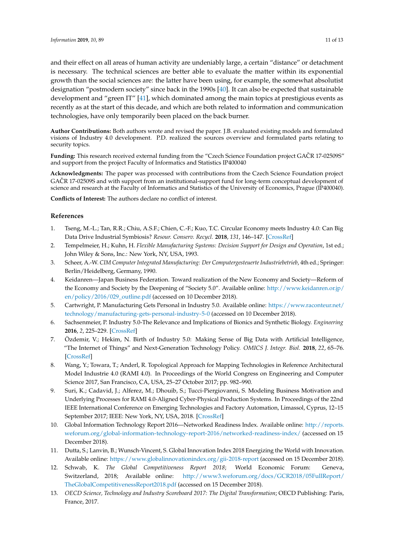and their effect on all areas of human activity are undeniably large, a certain "distance" or detachment is necessary. The technical sciences are better able to evaluate the matter within its exponential growth than the social sciences are: the latter have been using, for example, the somewhat absolutist designation "postmodern society" since back in the 1990s [\[40\]](#page-12-8). It can also be expected that sustainable development and "green IT" [\[41\]](#page-12-9), which dominated among the main topics at prestigious events as recently as at the start of this decade, and which are both related to information and communication technologies, have only temporarily been placed on the back burner.

**Author Contributions:** Both authors wrote and revised the paper. J.B. evaluated existing models and formulated visions of Industry 4.0 development. P.D. realized the sources overview and formulated parts relating to security topics.

**Funding:** This research received external funding from the "Czech Science Foundation project GACR 17-02509S" ˇ and support from the project Faculty of Informatics and Statistics IP400040

**Acknowledgments:** The paper was processed with contributions from the Czech Science Foundation project GACR 17-02509S and with support from an institutional-support fund for long-term conceptual development of science and research at the Faculty of Informatics and Statistics of the University of Economics, Prague (IP400040).

**Conflicts of Interest:** The authors declare no conflict of interest.

#### **References**

- <span id="page-10-0"></span>1. Tseng, M.-L.; Tan, R.R.; Chiu, A.S.F.; Chien, C.-F.; Kuo, T.C. Circular Economy meets Industry 4.0: Can Big Data Drive Industrial Symbiosis? *Resour. Conserv. Recycl.* **2018**, *131*, 146–147. [\[CrossRef\]](http://dx.doi.org/10.1016/j.resconrec.2017.12.028)
- <span id="page-10-1"></span>2. Tempelmeier, H.; Kuhn, H. *Flexible Manufacturing Systems: Decision Support for Design and Operation*, 1st ed.; John Wiley & Sons, Inc.: New York, NY, USA, 1993.
- <span id="page-10-2"></span>3. Scheer, A.-W. *CIM Computer Integrated Manufacturing: Der Computergesteuerte Industriebetrieb*, 4th ed.; Springer: Berlin/Heidelberg, Germany, 1990.
- <span id="page-10-3"></span>4. Keidanren—Japan Business Federation. Toward realization of the New Economy and Society—Reform of the Economy and Society by the Deepening of "Society 5.0". Available online: [http://www.keidanren.or.jp/](http://www.keidanren.or.jp/en/policy/2016/029_outline.pdf) [en/policy/2016/029\\_outline.pdf](http://www.keidanren.or.jp/en/policy/2016/029_outline.pdf) (accessed on 10 December 2018).
- <span id="page-10-4"></span>5. Cartwright, P. Manufacturing Gets Personal in Industry 5.0. Available online: [https://www.raconteur.net/](https://www.raconteur.net/technology/manufacturing-gets-personal-industry-5-0) [technology/manufacturing-gets-personal-industry-5-0](https://www.raconteur.net/technology/manufacturing-gets-personal-industry-5-0) (accessed on 10 December 2018).
- <span id="page-10-5"></span>6. Sachsenmeier, P. Industry 5.0-The Relevance and Implications of Bionics and Synthetic Biology. *Engineering* **2016**, *2*, 225–229. [\[CrossRef\]](http://dx.doi.org/10.1016/J.ENG.2016.02.015)
- <span id="page-10-6"></span>7. Özdemir, V.; Hekim, N. Birth of Industry 5.0: Making Sense of Big Data with Artificial Intelligence, "The Internet of Things" and Next-Generation Technology Policy. *OMICS J. Integr. Biol.* **2018**, *22*, 65–76. [\[CrossRef\]](http://dx.doi.org/10.1089/omi.2017.0194)
- <span id="page-10-7"></span>8. Wang, Y.; Towara, T.; Anderl, R. Topological Approach for Mapping Technologies in Reference Architectural Model Industrie 4.0 (RAMI 4.0). In Proceedings of the World Congress on Engineering and Computer Science 2017, San Francisco, CA, USA, 25–27 October 2017; pp. 982–990.
- <span id="page-10-8"></span>9. Suri, K.; Cadavid, J.; Alferez, M.; Dhouib, S.; Tucci-Piergiovanni, S. Modeling Business Motivation and Underlying Processes for RAMI 4.0-Aligned Cyber-Physical Production Systems. In Proceedings of the 22nd IEEE International Conference on Emerging Technologies and Factory Automation, Limassol, Cyprus, 12–15 September 2017; IEEE: New York, NY, USA, 2018. [\[CrossRef\]](http://dx.doi.org/10.1109/ETFA.2017.8247702)
- <span id="page-10-9"></span>10. Global Information Technology Report 2016—Networked Readiness Index. Available online: [http://reports.](http://reports.weforum.org/global-information-technology-report-2016/networked-readiness-index/) [weforum.org/global-information-technology-report-2016/networked-readiness-index/](http://reports.weforum.org/global-information-technology-report-2016/networked-readiness-index/) (accessed on 15 December 2018).
- <span id="page-10-10"></span>11. Dutta, S.; Lanvin, B.; Wunsch-Vincent, S. Global Innovation Index 2018 Energizing the World with Innovation. Available online: <https://www.globalinnovationindex.org/gii-2018-report> (accessed on 15 December 2018).
- <span id="page-10-11"></span>12. Schwab, K. *The Global Competitiveness Report 2018*; World Economic Forum: Geneva, Switzerland, 2018; Available online: [http://www3.weforum.org/docs/GCR2018/05FullReport/](http://www3.weforum.org/docs/GCR2018/05FullReport/TheGlobalCompetitiveness Report2018.pdf) [TheGlobalCompetitivenessReport2018.pdf](http://www3.weforum.org/docs/GCR2018/05FullReport/TheGlobalCompetitiveness Report2018.pdf) (accessed on 15 December 2018).
- <span id="page-10-12"></span>13. *OECD Science, Technology and Industry Scoreboard 2017: The Digital Transformation*; OECD Publishing: Paris, France, 2017.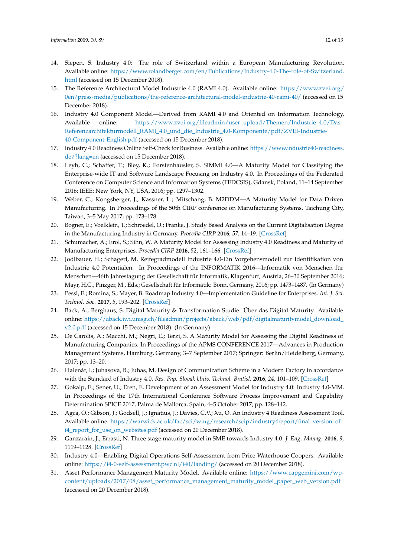- <span id="page-11-0"></span>14. Siepen, S. Industry 4.0: The role of Switzerland within a European Manufacturing Revolution. Available online: [https://www.rolandberger.com/en/Publications/Industry-4.0-The-role-of-Switzerland.](https://www.rolandberger.com/en/Publications/Industry-4.0-The-role-of-Switzerland.html) [html](https://www.rolandberger.com/en/Publications/Industry-4.0-The-role-of-Switzerland.html) (accessed on 15 December 2018).
- <span id="page-11-1"></span>15. The Reference Architectural Model Industrie 4.0 (RAMI 4.0). Available online: [https://www.zvei.org/](https://www.zvei.org/0en/ press-media/publications/the-reference-architectural-model-industrie-40-rami-40/) [0en/press-media/publications/the-reference-architectural-model-industrie-40-rami-40/](https://www.zvei.org/0en/ press-media/publications/the-reference-architectural-model-industrie-40-rami-40/) (accessed on 15 December 2018).
- <span id="page-11-2"></span>16. Industry 4.0 Component Model—Derived from RAMI 4.0 and Oriented on Information Technology. Available online: [https://www.zvei.org/fileadmin/user\\_upload/Themen/Industrie\\_4.0/Das\\_](https://www.zvei.org/fileadmin/user_upload/Themen/Industrie_4.0/Das_Referenzarchitekturmodell_RAMI_4.0_und_die_Industrie_4.0-Komponente/pdf/ZVEI-Industrie-40-Component-English.pdf) [Referenzarchitekturmodell\\_RAMI\\_4.0\\_und\\_die\\_Industrie\\_4.0-Komponente/pdf/ZVEI-Industrie-](https://www.zvei.org/fileadmin/user_upload/Themen/Industrie_4.0/Das_Referenzarchitekturmodell_RAMI_4.0_und_die_Industrie_4.0-Komponente/pdf/ZVEI-Industrie-40-Component-English.pdf)[40-Component-English.pdf](https://www.zvei.org/fileadmin/user_upload/Themen/Industrie_4.0/Das_Referenzarchitekturmodell_RAMI_4.0_und_die_Industrie_4.0-Komponente/pdf/ZVEI-Industrie-40-Component-English.pdf) (accessed on 15 December 2018).
- <span id="page-11-3"></span>17. Industry 4.0 Readiness Online Self-Check for Business. Available online: [https://www.industrie40-readiness.](https://www.industrie40-readiness.de/?lang=en) [de/?lang=en](https://www.industrie40-readiness.de/?lang=en) (accessed on 15 December 2018).
- <span id="page-11-4"></span>18. Leyh, C.; Schaffer, T.; Bley, K.; Forstenhausler, S. SIMMI 4.0—A Maturity Model for Classifying the Enterprise-wide IT and Software Landscape Focusing on Industry 4.0. In Proceedings of the Federated Conference on Computer Science and Information Systems (FEDCSIS), Gdansk, Poland, 11–14 September 2016; IEEE: New York, NY, USA, 2016; pp. 1297–1302.
- <span id="page-11-5"></span>19. Weber, C.; Kongsberger, J.; Kassner, L.; Mitschang, B. M2DDM—A Maturity Model for Data Driven Manufacturing. In Proceedings of the 50th CIRP conference on Manufacturing Systems, Taichung City, Taiwan, 3–5 May 2017; pp. 173–178.
- <span id="page-11-6"></span>20. Bogner, E.; Voelklein, T.; Schroedel, O.; Franke, J. Study Based Analysis on the Current Digitalisation Degree in the Manufacturing Industry in Germany. *Procedia CIRP* **2016**, *57*, 14–19. [\[CrossRef\]](http://dx.doi.org/10.1016/j.procir.2016.11.004)
- <span id="page-11-7"></span>21. Schumacher, A.; Erol, S.; Sihn, W. A Maturity Model for Assessing Industry 4.0 Readiness and Maturity of Manufacturing Enterprises. *Procedia CIRP* **2016**, *52*, 161–166. [\[CrossRef\]](http://dx.doi.org/10.1016/j.procir.2016.07.040)
- <span id="page-11-8"></span>22. Jodlbauer, H.; Schagerl, M. Reifegradmodell Industrie 4.0-Ein Vorgehensmodell zur Identifikation von Industrie 4.0 Potentialen. In Proceedings of the INFORMATIK 2016—Informatik von Menschen für Menschen—46th Jahrestagung der Gesellschaft für Informatik, Klagenfurt, Austria, 26–30 September 2016; Mayr, H.C., Pinzger, M., Eds.; Gesellschaft für Informatik: Bonn, Germany, 2016; pp. 1473–1487. (In Germany)
- <span id="page-11-9"></span>23. Pessl, E.; Romina, S.; Mayer, B. Roadmap Industry 4.0—Implementation Guideline for Enterprises. *Int. J. Sci. Technol. Soc.* **2017**, *5*, 193–202. [\[CrossRef\]](http://dx.doi.org/10.11648/j.ijsts.20170506.14)
- <span id="page-11-10"></span>24. Back, A.; Berghaus, S. Digital Maturity & Transformation Studie: Über das Digital Maturity. Available online: [https://aback.iwi.unisg.ch/fileadmin/projects/aback/web/pdf/digitalmaturitymodel\\_download\\_](https://aback.iwi.unisg.ch/fileadmin/projects/aback/web/pdf/digitalmaturitymodel_download_v2.0.pdf) [v2.0.pdf](https://aback.iwi.unisg.ch/fileadmin/projects/aback/web/pdf/digitalmaturitymodel_download_v2.0.pdf) (accessed on 15 December 2018). (In Germany)
- <span id="page-11-11"></span>25. De Carolis, A.; Macchi, M.; Negri, E.; Terzi, S. A Maturity Model for Assessing the Digital Readiness of Manufacturing Companies. In Proceedings of the APMS CONFERENCE 2017—Advances in Production Management Systems, Hamburg, Germany, 3–7 September 2017; Springer: Berlin/Heidelberg, Germany, 2017; pp. 13–20.
- <span id="page-11-12"></span>26. Halenár, I.; Juhasova, B.; Juhas, M. Design of Communication Scheme in a Modern Factory in accordance with the Standard of Industry 4.0. *Res. Pap. Slovak Univ. Technol. Bratisl.* **2016**, *24*, 101–109. [\[CrossRef\]](http://dx.doi.org/10.1515/rput-2016-0023)
- <span id="page-11-13"></span>27. Gokalp, E.; Sener, U.; Eren, E. Development of an Assessment Model for Industry 4.0: Industry 4.0-MM. In Proceedings of the 17th International Conference Software Process Improvement and Capability Determination SPICE 2017, Palma de Mallorca, Spain, 4–5 October 2017; pp. 128–142.
- <span id="page-11-14"></span>28. Agca, O.; Gibson, J.; Godsell, J.; Ignatius, J.; Davies, C.V.; Xu, O. An Industry 4 Readiness Assessment Tool. Available online: [https://warwick.ac.uk/fac/sci/wmg/research/scip/industry4report/final\\_version\\_of\\_](https://warwick.ac.uk/fac/sci/wmg/research/scip/industry4report/ final_version_of_i4_report_for_use_on_websites.pdf) [i4\\_report\\_for\\_use\\_on\\_websites.pdf](https://warwick.ac.uk/fac/sci/wmg/research/scip/industry4report/ final_version_of_i4_report_for_use_on_websites.pdf) (accessed on 20 December 2018).
- <span id="page-11-15"></span>29. Ganzarain, J.; Errasti, N. Three stage maturity model in SME towards Industry 4.0. *J. Eng. Manag.* **2016**, *9*, 1119–1128. [\[CrossRef\]](http://dx.doi.org/10.3926/jiem.2073)
- <span id="page-11-16"></span>30. Industry 4.0—Enabling Digital Operations Self-Assessment from Price Waterhouse Coopers. Available online: <https://i4-0-self-assessment.pwc.nl/i40/landing/> (accessed on 20 December 2018).
- <span id="page-11-17"></span>31. Asset Performance Management Maturity Model. Available online: [https://www.capgemini.com/wp](https://www.capgemini.com/wp-content/uploads/2017/08/asset_performance_management_maturity_model_paper_web_version.pdf)[content/uploads/2017/08/asset\\_performance\\_management\\_maturity\\_model\\_paper\\_web\\_version.pdf](https://www.capgemini.com/wp-content/uploads/2017/08/asset_performance_management_maturity_model_paper_web_version.pdf) (accessed on 20 December 2018).